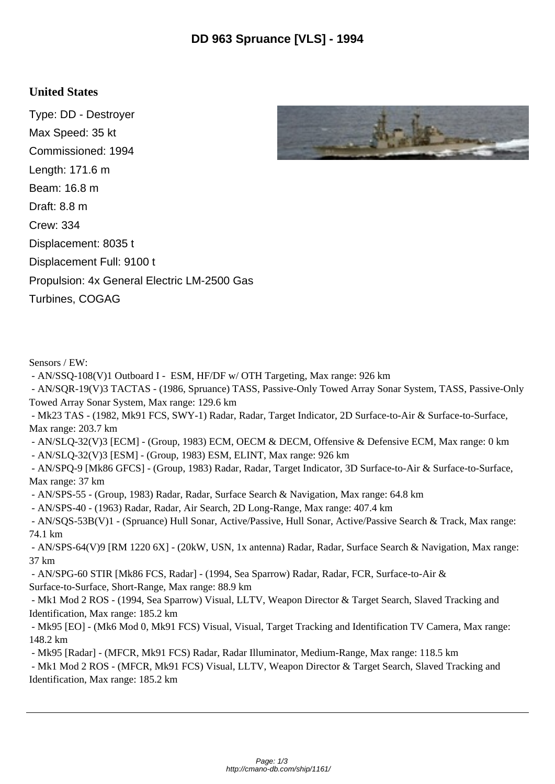## **United States**

Type: DD - Destroyer Max Speed: 35 kt Commissioned: 1994 Length: 171.6 m Beam: 16.8 m Draft: 8.8 m Crew: 334 Displacement: 8035 t Displacement Full: 9100 t Propulsion: 4x General Electric LM-2500 Gas Turbines, COGAG



- AN/SSQ-108(V)1 Outboard I - ESM, HF/DF w/ OTH Targeting, Max range: 926 km

 - AN/SQR-19(V)3 TACTAS - (1986, Spruance) TASS, Passive-Only Towed Array Sonar System, TASS, Passive-Only Towed Array Sonar System, Max range: 129.6 km

 - Mk23 TAS - (1982, Mk91 FCS, SWY-1) Radar, Radar, Target Indicator, 2D Surface-to-Air & Surface-to-Surface, Max range: 203.7 km

 - AN/SLQ-32(V)3 [ECM] - (Group, 1983) ECM, OECM & DECM, Offensive & Defensive ECM, Max range: 0 km - AN/SLQ-32(V)3 [ESM] - (Group, 1983) ESM, ELINT, Max range: 926 km

 - AN/SPQ-9 [Mk86 GFCS] - (Group, 1983) Radar, Radar, Target Indicator, 3D Surface-to-Air & Surface-to-Surface, Max range: 37 km

- AN/SPS-55 - (Group, 1983) Radar, Radar, Surface Search & Navigation, Max range: 64.8 km

- AN/SPS-40 - (1963) Radar, Radar, Air Search, 2D Long-Range, Max range: 407.4 km

 - AN/SQS-53B(V)1 - (Spruance) Hull Sonar, Active/Passive, Hull Sonar, Active/Passive Search & Track, Max range: 74.1 km

 - AN/SPS-64(V)9 [RM 1220 6X] - (20kW, USN, 1x antenna) Radar, Radar, Surface Search & Navigation, Max range: 37 km

 - AN/SPG-60 STIR [Mk86 FCS, Radar] - (1994, Sea Sparrow) Radar, Radar, FCR, Surface-to-Air & Surface-to-Surface, Short-Range, Max range: 88.9 km

 - Mk1 Mod 2 ROS - (1994, Sea Sparrow) Visual, LLTV, Weapon Director & Target Search, Slaved Tracking and Identification, Max range: 185.2 km

 - Mk95 [EO] - (Mk6 Mod 0, Mk91 FCS) Visual, Visual, Target Tracking and Identification TV Camera, Max range: 148.2 km

- Mk95 [Radar] - (MFCR, Mk91 FCS) Radar, Radar Illuminator, Medium-Range, Max range: 118.5 km

 - Mk1 Mod 2 ROS - (MFCR, Mk91 FCS) Visual, LLTV, Weapon Director & Target Search, Slaved Tracking and Identification, Max range: 185.2 km

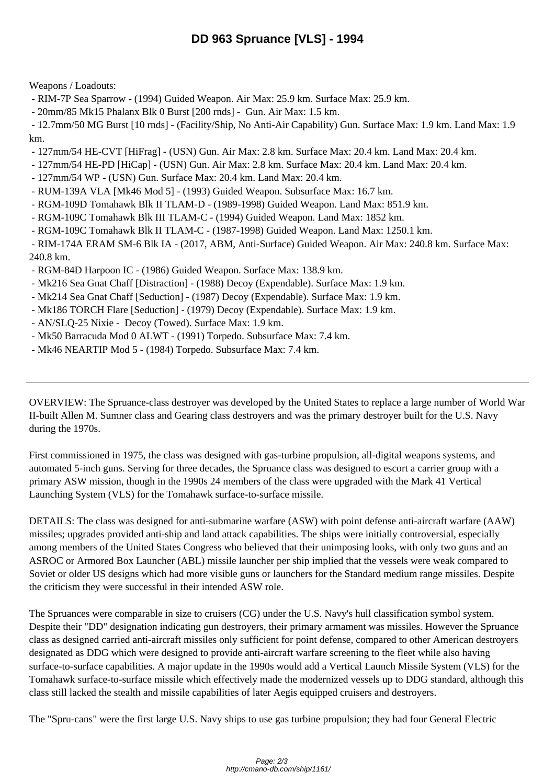Weapons / Loadouts:

- RIM-7P Sea Sparrow - (1994) Guided Weapon. Air Max: 25.9 km. Surface Max: 25.9 km.

- 20mm/85 Mk15 Phalanx Blk 0 Burst [200 rnds] - Gun. Air Max: 1.5 km.

 - 12.7mm/50 MG Burst [10 rnds] - (Facility/Ship, No Anti-Air Capability) Gun. Surface Max: 1.9 km. Land Max: 1.9 km.

- 127mm/54 HE-CVT [HiFrag] (USN) Gun. Air Max: 2.8 km. Surface Max: 20.4 km. Land Max: 20.4 km.
- 127mm/54 HE-PD [HiCap] (USN) Gun. Air Max: 2.8 km. Surface Max: 20.4 km. Land Max: 20.4 km.
- 127mm/54 WP (USN) Gun. Surface Max: 20.4 km. Land Max: 20.4 km.
- RUM-139A VLA [Mk46 Mod 5] (1993) Guided Weapon. Subsurface Max: 16.7 km.
- RGM-109D Tomahawk Blk II TLAM-D (1989-1998) Guided Weapon. Land Max: 851.9 km.
- RGM-109C Tomahawk Blk III TLAM-C (1994) Guided Weapon. Land Max: 1852 km.
- RGM-109C Tomahawk Blk II TLAM-C (1987-1998) Guided Weapon. Land Max: 1250.1 km.

 - RIM-174A ERAM SM-6 Blk IA - (2017, ABM, Anti-Surface) Guided Weapon. Air Max: 240.8 km. Surface Max: 240.8 km.

- RGM-84D Harpoon IC (1986) Guided Weapon. Surface Max: 138.9 km.
- Mk216 Sea Gnat Chaff [Distraction] (1988) Decoy (Expendable). Surface Max: 1.9 km.
- Mk214 Sea Gnat Chaff [Seduction] (1987) Decoy (Expendable). Surface Max: 1.9 km.
- Mk186 TORCH Flare [Seduction] (1979) Decoy (Expendable). Surface Max: 1.9 km.
- AN/SLQ-25 Nixie Decoy (Towed). Surface Max: 1.9 km.
- Mk50 Barracuda Mod 0 ALWT (1991) Torpedo. Subsurface Max: 7.4 km.
- Mk46 NEARTIP Mod 5 (1984) Torpedo. Subsurface Max: 7.4 km.

OVERVIEW: The Spruance-class destroyer was developed by the United States to replace a large number of World War II-built Allen M. Sumner class and Gearing class destroyers and was the primary destroyer built for the U.S. Navy during the 1970s.

First commissioned in 1975, the class was designed with gas-turbine propulsion, all-digital weapons systems, and automated 5-inch guns. Serving for three decades, the Spruance class was designed to escort a carrier group with a primary ASW mission, though in the 1990s 24 members of the class were upgraded with the Mark 41 Vertical Launching System (VLS) for the Tomahawk surface-to-surface missile.

DETAILS: The class was designed for anti-submarine warfare (ASW) with point defense anti-aircraft warfare (AAW) missiles; upgrades provided anti-ship and land attack capabilities. The ships were initially controversial, especially among members of the United States Congress who believed that their unimposing looks, with only two guns and an ASROC or Armored Box Launcher (ABL) missile launcher per ship implied that the vessels were weak compared to Soviet or older US designs which had more visible guns or launchers for the Standard medium range missiles. Despite the criticism they were successful in their intended ASW role.

The Spruances were comparable in size to cruisers (CG) under the U.S. Navy's hull classification symbol system. Despite their "DD" designation indicating gun destroyers, their primary armament was missiles. However the Spruance class as designed carried anti-aircraft missiles only sufficient for point defense, compared to other American destroyers designated as DDG which were designed to provide anti-aircraft warfare screening to the fleet while also having surface-to-surface capabilities. A major update in the 1990s would add a Vertical Launch Missile System (VLS) for the Tomahawk surface-to-surface missile which effectively made the modernized vessels up to DDG standard, although this class still lacked the stealth and missile capabilities of later Aegis equipped cruisers and destroyers.

The "Spru-cans" were the first large U.S. Navy ships to use gas turbine propulsion; they had four General Electric